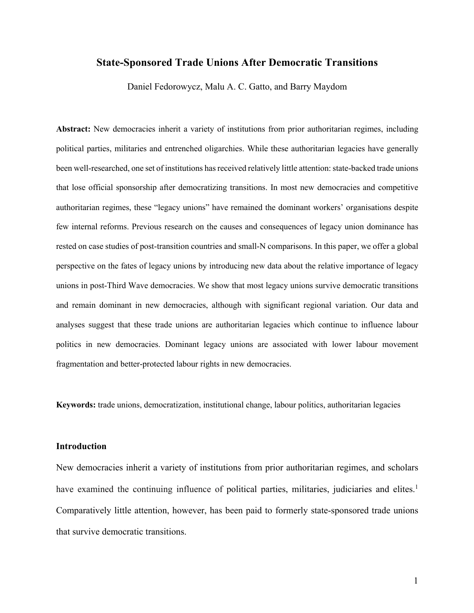# **State-Sponsored Trade Unions After Democratic Transitions**

Daniel Fedorowycz, Malu A. C. Gatto, and Barry Maydom

**Abstract:** New democracies inherit a variety of institutions from prior authoritarian regimes, including political parties, militaries and entrenched oligarchies. While these authoritarian legacies have generally been well-researched, one set of institutions has received relatively little attention: state-backed trade unions that lose official sponsorship after democratizing transitions. In most new democracies and competitive authoritarian regimes, these "legacy unions" have remained the dominant workers' organisations despite few internal reforms. Previous research on the causes and consequences of legacy union dominance has rested on case studies of post-transition countries and small-N comparisons. In this paper, we offer a global perspective on the fates of legacy unions by introducing new data about the relative importance of legacy unions in post-Third Wave democracies. We show that most legacy unions survive democratic transitions and remain dominant in new democracies, although with significant regional variation. Our data and analyses suggest that these trade unions are authoritarian legacies which continue to influence labour politics in new democracies. Dominant legacy unions are associated with lower labour movement fragmentation and better-protected labour rights in new democracies.

**Keywords:** trade unions, democratization, institutional change, labour politics, authoritarian legacies

## **Introduction**

New democracies inherit a variety of institutions from prior authoritarian regimes, and scholars have examined the continuing influence of political parties, militaries, judiciaries and elites.<sup>1</sup> Comparatively little attention, however, has been paid to formerly state-sponsored trade unions that survive democratic transitions.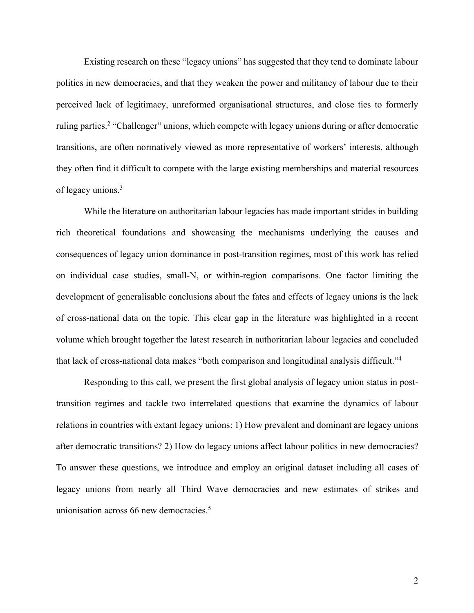Existing research on these "legacy unions" has suggested that they tend to dominate labour politics in new democracies, and that they weaken the power and militancy of labour due to their perceived lack of legitimacy, unreformed organisational structures, and close ties to formerly ruling parties.<sup>2</sup> "Challenger" unions, which compete with legacy unions during or after democratic transitions, are often normatively viewed as more representative of workers' interests, although they often find it difficult to compete with the large existing memberships and material resources of legacy unions.3

While the literature on authoritarian labour legacies has made important strides in building rich theoretical foundations and showcasing the mechanisms underlying the causes and consequences of legacy union dominance in post-transition regimes, most of this work has relied on individual case studies, small-N, or within-region comparisons. One factor limiting the development of generalisable conclusions about the fates and effects of legacy unions is the lack of cross-national data on the topic. This clear gap in the literature was highlighted in a recent volume which brought together the latest research in authoritarian labour legacies and concluded that lack of cross-national data makes "both comparison and longitudinal analysis difficult."4

Responding to this call, we present the first global analysis of legacy union status in posttransition regimes and tackle two interrelated questions that examine the dynamics of labour relations in countries with extant legacy unions: 1) How prevalent and dominant are legacy unions after democratic transitions? 2) How do legacy unions affect labour politics in new democracies? To answer these questions, we introduce and employ an original dataset including all cases of legacy unions from nearly all Third Wave democracies and new estimates of strikes and unionisation across 66 new democracies.<sup>5</sup>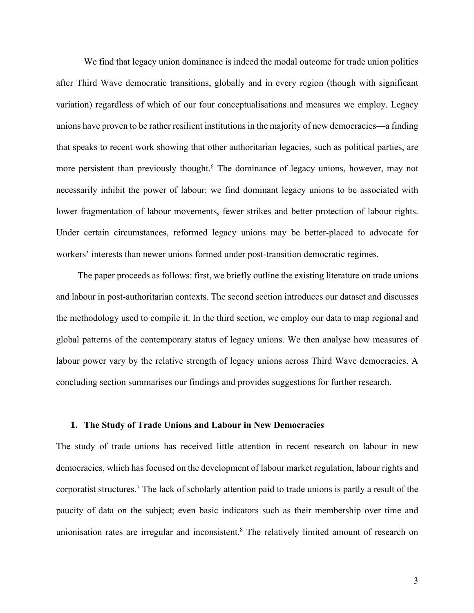We find that legacy union dominance is indeed the modal outcome for trade union politics after Third Wave democratic transitions, globally and in every region (though with significant variation) regardless of which of our four conceptualisations and measures we employ. Legacy unions have proven to be rather resilient institutions in the majority of new democracies—a finding that speaks to recent work showing that other authoritarian legacies, such as political parties, are more persistent than previously thought.<sup>6</sup> The dominance of legacy unions, however, may not necessarily inhibit the power of labour: we find dominant legacy unions to be associated with lower fragmentation of labour movements, fewer strikes and better protection of labour rights. Under certain circumstances, reformed legacy unions may be better-placed to advocate for workers' interests than newer unions formed under post-transition democratic regimes.

The paper proceeds as follows: first, we briefly outline the existing literature on trade unions and labour in post-authoritarian contexts. The second section introduces our dataset and discusses the methodology used to compile it. In the third section, we employ our data to map regional and global patterns of the contemporary status of legacy unions. We then analyse how measures of labour power vary by the relative strength of legacy unions across Third Wave democracies. A concluding section summarises our findings and provides suggestions for further research.

## **1. The Study of Trade Unions and Labour in New Democracies**

The study of trade unions has received little attention in recent research on labour in new democracies, which has focused on the development of labour market regulation, labour rights and corporatist structures. <sup>7</sup> The lack of scholarly attention paid to trade unions is partly a result of the paucity of data on the subject; even basic indicators such as their membership over time and unionisation rates are irregular and inconsistent.<sup>8</sup> The relatively limited amount of research on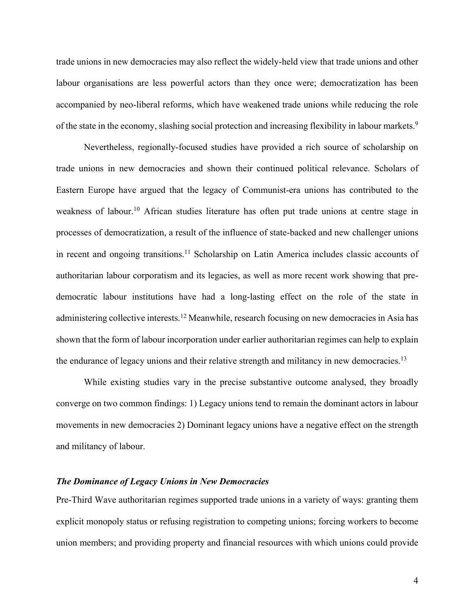trade unions in new democracies may also reflect the widely-held view that trade unions and other labour organisations are less powerful actors than they once were; democratization has been accompanied by neo-liberal reforms, which have weakened trade unions while reducing the role of the state in the economy, slashing social protection and increasing flexibility in labour markets.9

Nevertheless, regionally-focused studies have provided a rich source of scholarship on trade unions in new democracies and shown their continued political relevance. Scholars of Eastern Europe have argued that the legacy of Communist-era unions has contributed to the weakness of labour. <sup>10</sup> African studies literature has often put trade unions at centre stage in processes of democratization, a result of the influence of state-backed and new challenger unions in recent and ongoing transitions. <sup>11</sup> Scholarship on Latin America includes classic accounts of authoritarian labour corporatism and its legacies, as well as more recent work showing that predemocratic labour institutions have had a long-lasting effect on the role of the state in administering collective interests.<sup>12</sup> Meanwhile, research focusing on new democracies in Asia has shown that the form of labour incorporation under earlier authoritarian regimes can help to explain the endurance of legacy unions and their relative strength and militancy in new democracies.<sup>13</sup>

While existing studies vary in the precise substantive outcome analysed, they broadly converge on two common findings: 1) Legacy unions tend to remain the dominant actors in labour movements in new democracies 2) Dominant legacy unions have a negative effect on the strength and militancy of labour.

# *The Dominance of Legacy Unions in New Democracies*

Pre-Third Wave authoritarian regimes supported trade unions in a variety of ways: granting them explicit monopoly status or refusing registration to competing unions; forcing workers to become union members; and providing property and financial resources with which unions could provide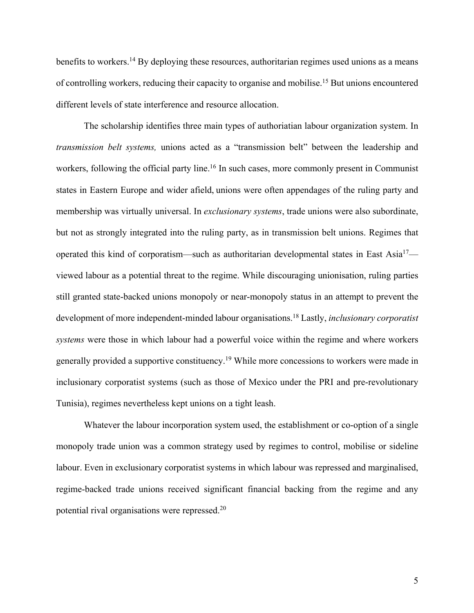benefits to workers.<sup>14</sup> By deploying these resources, authoritarian regimes used unions as a means of controlling workers, reducing their capacity to organise and mobilise. <sup>15</sup> But unions encountered different levels of state interference and resource allocation.

The scholarship identifies three main types of authoriatian labour organization system. In *transmission belt systems,* unions acted as a "transmission belt" between the leadership and workers, following the official party line.<sup>16</sup> In such cases, more commonly present in Communist states in Eastern Europe and wider afield, unions were often appendages of the ruling party and membership was virtually universal. In *exclusionary systems*, trade unions were also subordinate, but not as strongly integrated into the ruling party, as in transmission belt unions. Regimes that operated this kind of corporatism—such as authoritarian developmental states in East Asia<sup>17</sup> viewed labour as a potential threat to the regime. While discouraging unionisation, ruling parties still granted state-backed unions monopoly or near-monopoly status in an attempt to prevent the development of more independent-minded labour organisations. <sup>18</sup> Lastly, *inclusionary corporatist systems* were those in which labour had a powerful voice within the regime and where workers generally provided a supportive constituency.<sup>19</sup> While more concessions to workers were made in inclusionary corporatist systems (such as those of Mexico under the PRI and pre-revolutionary Tunisia), regimes nevertheless kept unions on a tight leash.

Whatever the labour incorporation system used, the establishment or co-option of a single monopoly trade union was a common strategy used by regimes to control, mobilise or sideline labour. Even in exclusionary corporatist systems in which labour was repressed and marginalised, regime-backed trade unions received significant financial backing from the regime and any potential rival organisations were repressed.20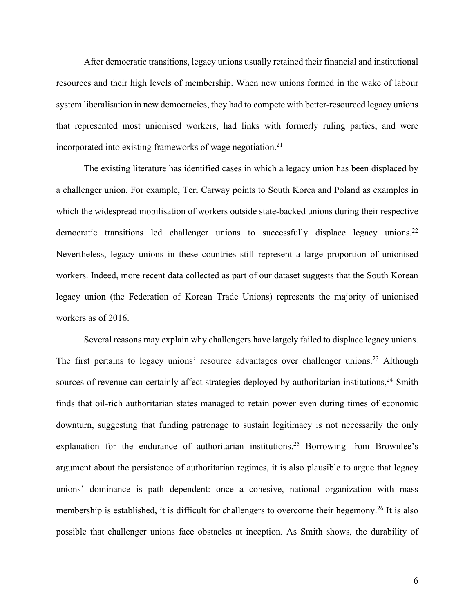After democratic transitions, legacy unions usually retained their financial and institutional resources and their high levels of membership. When new unions formed in the wake of labour system liberalisation in new democracies, they had to compete with better-resourced legacy unions that represented most unionised workers, had links with formerly ruling parties, and were incorporated into existing frameworks of wage negotiation. 21

The existing literature has identified cases in which a legacy union has been displaced by a challenger union. For example, Teri Carway points to South Korea and Poland as examples in which the widespread mobilisation of workers outside state-backed unions during their respective democratic transitions led challenger unions to successfully displace legacy unions.<sup>22</sup> Nevertheless, legacy unions in these countries still represent a large proportion of unionised workers. Indeed, more recent data collected as part of our dataset suggests that the South Korean legacy union (the Federation of Korean Trade Unions) represents the majority of unionised workers as of 2016.

Several reasons may explain why challengers have largely failed to displace legacy unions. The first pertains to legacy unions' resource advantages over challenger unions.<sup>23</sup> Although sources of revenue can certainly affect strategies deployed by authoritarian institutions,<sup>24</sup> Smith finds that oil-rich authoritarian states managed to retain power even during times of economic downturn, suggesting that funding patronage to sustain legitimacy is not necessarily the only explanation for the endurance of authoritarian institutions.<sup>25</sup> Borrowing from Brownlee's argument about the persistence of authoritarian regimes, it is also plausible to argue that legacy unions' dominance is path dependent: once a cohesive, national organization with mass membership is established, it is difficult for challengers to overcome their hegemony.<sup>26</sup> It is also possible that challenger unions face obstacles at inception. As Smith shows, the durability of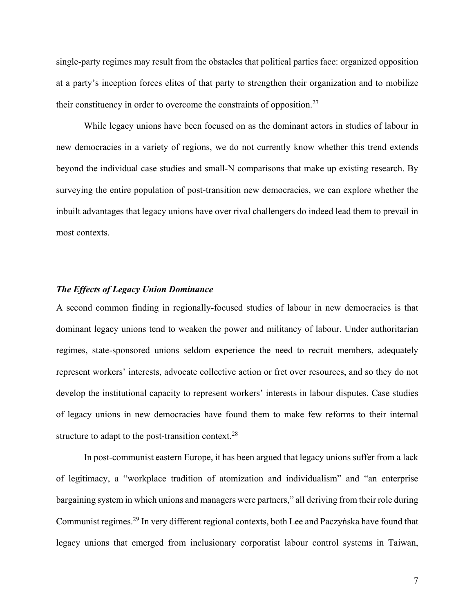single-party regimes may result from the obstacles that political parties face: organized opposition at a party's inception forces elites of that party to strengthen their organization and to mobilize their constituency in order to overcome the constraints of opposition.27

While legacy unions have been focused on as the dominant actors in studies of labour in new democracies in a variety of regions, we do not currently know whether this trend extends beyond the individual case studies and small-N comparisons that make up existing research. By surveying the entire population of post-transition new democracies, we can explore whether the inbuilt advantages that legacy unions have over rival challengers do indeed lead them to prevail in most contexts.

# *The Effects of Legacy Union Dominance*

A second common finding in regionally-focused studies of labour in new democracies is that dominant legacy unions tend to weaken the power and militancy of labour. Under authoritarian regimes, state-sponsored unions seldom experience the need to recruit members, adequately represent workers' interests, advocate collective action or fret over resources, and so they do not develop the institutional capacity to represent workers' interests in labour disputes. Case studies of legacy unions in new democracies have found them to make few reforms to their internal structure to adapt to the post-transition context.<sup>28</sup>

In post-communist eastern Europe, it has been argued that legacy unions suffer from a lack of legitimacy, a "workplace tradition of atomization and individualism" and "an enterprise bargaining system in which unions and managers were partners," all deriving from their role during Communist regimes.29 In very different regional contexts, both Lee and Paczyńska have found that legacy unions that emerged from inclusionary corporatist labour control systems in Taiwan,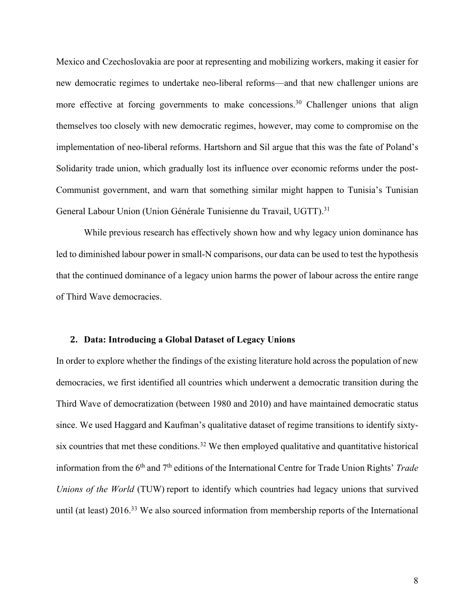Mexico and Czechoslovakia are poor at representing and mobilizing workers, making it easier for new democratic regimes to undertake neo-liberal reforms—and that new challenger unions are more effective at forcing governments to make concessions.<sup>30</sup> Challenger unions that align themselves too closely with new democratic regimes, however, may come to compromise on the implementation of neo-liberal reforms. Hartshorn and Sil argue that this was the fate of Poland's Solidarity trade union, which gradually lost its influence over economic reforms under the post-Communist government, and warn that something similar might happen to Tunisia's Tunisian General Labour Union (Union Générale Tunisienne du Travail, UGTT). 31

While previous research has effectively shown how and why legacy union dominance has led to diminished labour power in small-N comparisons, our data can be used to test the hypothesis that the continued dominance of a legacy union harms the power of labour across the entire range of Third Wave democracies.

### **2. Data: Introducing a Global Dataset of Legacy Unions**

In order to explore whether the findings of the existing literature hold across the population of new democracies, we first identified all countries which underwent a democratic transition during the Third Wave of democratization (between 1980 and 2010) and have maintained democratic status since. We used Haggard and Kaufman's qualitative dataset of regime transitions to identify sixtysix countries that met these conditions.<sup>32</sup> We then employed qualitative and quantitative historical information from the 6<sup>th</sup> and 7<sup>th</sup> editions of the International Centre for Trade Union Rights' *Trade Unions of the World* (TUW) report to identify which countries had legacy unions that survived until (at least) 2016.<sup>33</sup> We also sourced information from membership reports of the International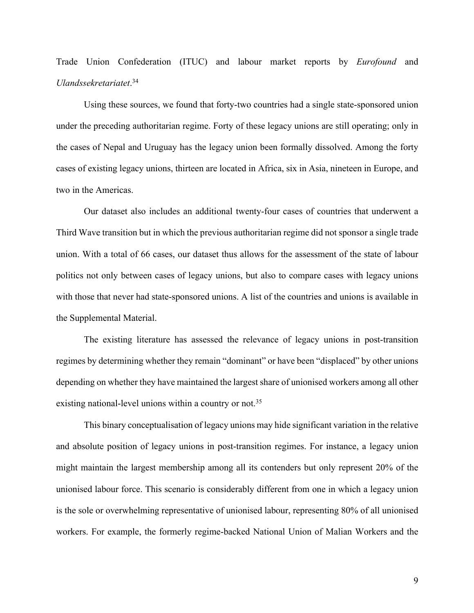# Trade Union Confederation (ITUC) and labour market reports by *Eurofound* and *Ulandssekretariatet*. 34

Using these sources, we found that forty-two countries had a single state-sponsored union under the preceding authoritarian regime. Forty of these legacy unions are still operating; only in the cases of Nepal and Uruguay has the legacy union been formally dissolved. Among the forty cases of existing legacy unions, thirteen are located in Africa, six in Asia, nineteen in Europe, and two in the Americas.

Our dataset also includes an additional twenty-four cases of countries that underwent a Third Wave transition but in which the previous authoritarian regime did not sponsor a single trade union. With a total of 66 cases, our dataset thus allows for the assessment of the state of labour politics not only between cases of legacy unions, but also to compare cases with legacy unions with those that never had state-sponsored unions. A list of the countries and unions is available in the Supplemental Material.

The existing literature has assessed the relevance of legacy unions in post-transition regimes by determining whether they remain "dominant" or have been "displaced" by other unions depending on whether they have maintained the largest share of unionised workers among all other existing national-level unions within a country or not.<sup>35</sup>

This binary conceptualisation of legacy unions may hide significant variation in the relative and absolute position of legacy unions in post-transition regimes. For instance, a legacy union might maintain the largest membership among all its contenders but only represent 20% of the unionised labour force. This scenario is considerably different from one in which a legacy union is the sole or overwhelming representative of unionised labour, representing 80% of all unionised workers. For example, the formerly regime-backed National Union of Malian Workers and the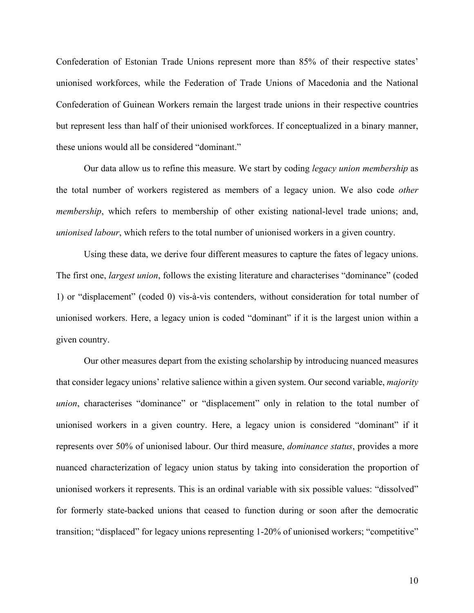Confederation of Estonian Trade Unions represent more than 85% of their respective states' unionised workforces, while the Federation of Trade Unions of Macedonia and the National Confederation of Guinean Workers remain the largest trade unions in their respective countries but represent less than half of their unionised workforces. If conceptualized in a binary manner, these unions would all be considered "dominant."

Our data allow us to refine this measure. We start by coding *legacy union membership* as the total number of workers registered as members of a legacy union. We also code *other membership*, which refers to membership of other existing national-level trade unions; and, *unionised labour*, which refers to the total number of unionised workers in a given country.

Using these data, we derive four different measures to capture the fates of legacy unions. The first one, *largest union*, follows the existing literature and characterises "dominance" (coded 1) or "displacement" (coded 0) vis-à-vis contenders, without consideration for total number of unionised workers. Here, a legacy union is coded "dominant" if it is the largest union within a given country.

Our other measures depart from the existing scholarship by introducing nuanced measures that consider legacy unions' relative salience within a given system. Our second variable, *majority union*, characterises "dominance" or "displacement" only in relation to the total number of unionised workers in a given country. Here, a legacy union is considered "dominant" if it represents over 50% of unionised labour. Our third measure, *dominance status*, provides a more nuanced characterization of legacy union status by taking into consideration the proportion of unionised workers it represents. This is an ordinal variable with six possible values: "dissolved" for formerly state-backed unions that ceased to function during or soon after the democratic transition; "displaced" for legacy unions representing 1-20% of unionised workers; "competitive"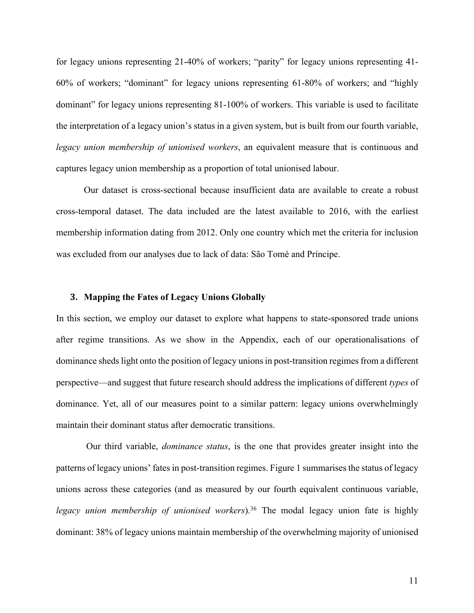for legacy unions representing 21-40% of workers; "parity" for legacy unions representing 41- 60% of workers; "dominant" for legacy unions representing 61-80% of workers; and "highly dominant" for legacy unions representing 81-100% of workers. This variable is used to facilitate the interpretation of a legacy union's status in a given system, but is built from our fourth variable, *legacy union membership of unionised workers*, an equivalent measure that is continuous and captures legacy union membership as a proportion of total unionised labour.

Our dataset is cross-sectional because insufficient data are available to create a robust cross-temporal dataset. The data included are the latest available to 2016, with the earliest membership information dating from 2012. Only one country which met the criteria for inclusion was excluded from our analyses due to lack of data: São Tomé and Príncipe.

### **3. Mapping the Fates of Legacy Unions Globally**

In this section, we employ our dataset to explore what happens to state-sponsored trade unions after regime transitions. As we show in the Appendix, each of our operationalisations of dominance shedslight onto the position of legacy unions in post-transition regimes from a different perspective—and suggest that future research should address the implications of different *types* of dominance. Yet, all of our measures point to a similar pattern: legacy unions overwhelmingly maintain their dominant status after democratic transitions.

Our third variable, *dominance status*, is the one that provides greater insight into the patterns of legacy unions' fates in post-transition regimes. Figure 1 summarises the status of legacy unions across these categories (and as measured by our fourth equivalent continuous variable, *legacy union membership of unionised workers*).<sup>36</sup> The modal legacy union fate is highly dominant: 38% of legacy unions maintain membership of the overwhelming majority of unionised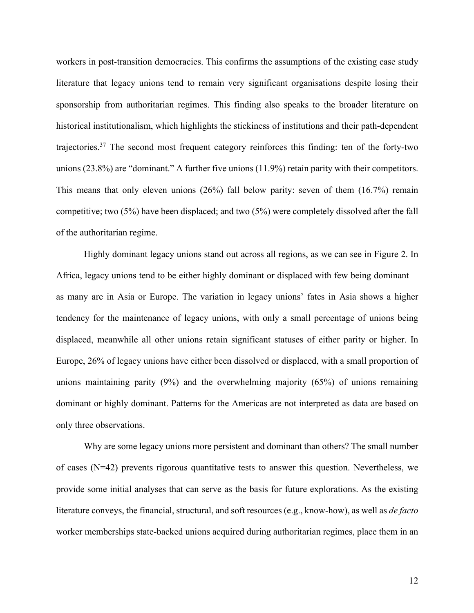workers in post-transition democracies. This confirms the assumptions of the existing case study literature that legacy unions tend to remain very significant organisations despite losing their sponsorship from authoritarian regimes. This finding also speaks to the broader literature on historical institutionalism, which highlights the stickiness of institutions and their path-dependent trajectories.37 The second most frequent category reinforces this finding: ten of the forty-two unions (23.8%) are "dominant." A further five unions (11.9%) retain parity with their competitors. This means that only eleven unions (26%) fall below parity: seven of them (16.7%) remain competitive; two (5%) have been displaced; and two (5%) were completely dissolved after the fall of the authoritarian regime.

Highly dominant legacy unions stand out across all regions, as we can see in Figure 2. In Africa, legacy unions tend to be either highly dominant or displaced with few being dominant as many are in Asia or Europe. The variation in legacy unions' fates in Asia shows a higher tendency for the maintenance of legacy unions, with only a small percentage of unions being displaced, meanwhile all other unions retain significant statuses of either parity or higher. In Europe, 26% of legacy unions have either been dissolved or displaced, with a small proportion of unions maintaining parity (9%) and the overwhelming majority (65%) of unions remaining dominant or highly dominant. Patterns for the Americas are not interpreted as data are based on only three observations.

Why are some legacy unions more persistent and dominant than others? The small number of cases (N=42) prevents rigorous quantitative tests to answer this question. Nevertheless, we provide some initial analyses that can serve as the basis for future explorations. As the existing literature conveys, the financial, structural, and soft resources (e.g., know-how), as well as *de facto* worker memberships state-backed unions acquired during authoritarian regimes, place them in an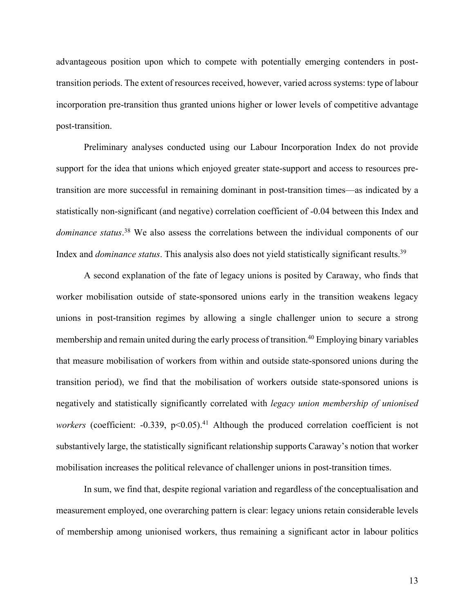advantageous position upon which to compete with potentially emerging contenders in posttransition periods. The extent of resources received, however, varied across systems: type of labour incorporation pre-transition thus granted unions higher or lower levels of competitive advantage post-transition.

Preliminary analyses conducted using our Labour Incorporation Index do not provide support for the idea that unions which enjoyed greater state-support and access to resources pretransition are more successful in remaining dominant in post-transition times—as indicated by a statistically non-significant (and negative) correlation coefficient of -0.04 between this Index and *dominance status*. <sup>38</sup> We also assess the correlations between the individual components of our Index and *dominance status*. This analysis also does not yield statistically significant results.39

A second explanation of the fate of legacy unions is posited by Caraway, who finds that worker mobilisation outside of state-sponsored unions early in the transition weakens legacy unions in post-transition regimes by allowing a single challenger union to secure a strong membership and remain united during the early process of transition.<sup>40</sup> Employing binary variables that measure mobilisation of workers from within and outside state-sponsored unions during the transition period), we find that the mobilisation of workers outside state-sponsored unions is negatively and statistically significantly correlated with *legacy union membership of unionised* workers (coefficient: -0.339, p<0.05).<sup>41</sup> Although the produced correlation coefficient is not substantively large, the statistically significant relationship supports Caraway's notion that worker mobilisation increases the political relevance of challenger unions in post-transition times.

In sum, we find that, despite regional variation and regardless of the conceptualisation and measurement employed, one overarching pattern is clear: legacy unions retain considerable levels of membership among unionised workers, thus remaining a significant actor in labour politics

13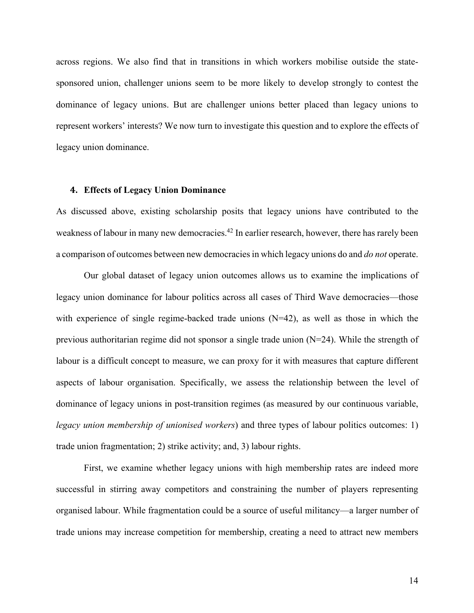across regions. We also find that in transitions in which workers mobilise outside the statesponsored union, challenger unions seem to be more likely to develop strongly to contest the dominance of legacy unions. But are challenger unions better placed than legacy unions to represent workers' interests? We now turn to investigate this question and to explore the effects of legacy union dominance.

#### **4. Effects of Legacy Union Dominance**

As discussed above, existing scholarship posits that legacy unions have contributed to the weakness of labour in many new democracies.<sup>42</sup> In earlier research, however, there has rarely been a comparison of outcomes between new democracies in which legacy unions do and *do not* operate.

Our global dataset of legacy union outcomes allows us to examine the implications of legacy union dominance for labour politics across all cases of Third Wave democracies—those with experience of single regime-backed trade unions  $(N=42)$ , as well as those in which the previous authoritarian regime did not sponsor a single trade union (N=24). While the strength of labour is a difficult concept to measure, we can proxy for it with measures that capture different aspects of labour organisation. Specifically, we assess the relationship between the level of dominance of legacy unions in post-transition regimes (as measured by our continuous variable, *legacy union membership of unionised workers*) and three types of labour politics outcomes: 1) trade union fragmentation; 2) strike activity; and, 3) labour rights.

First, we examine whether legacy unions with high membership rates are indeed more successful in stirring away competitors and constraining the number of players representing organised labour. While fragmentation could be a source of useful militancy—a larger number of trade unions may increase competition for membership, creating a need to attract new members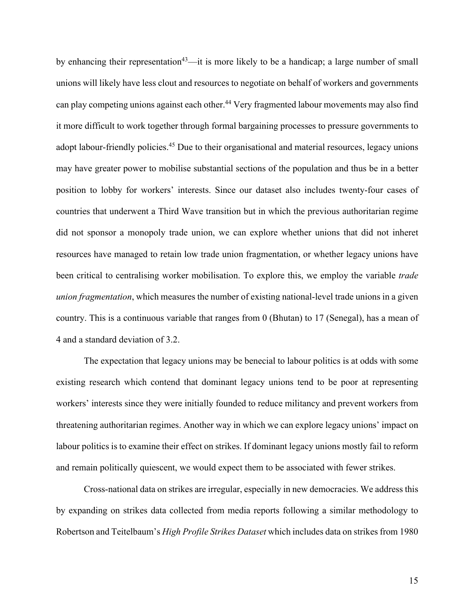by enhancing their representation<sup>43</sup>—it is more likely to be a handicap; a large number of small unions will likely have less clout and resources to negotiate on behalf of workers and governments can play competing unions against each other.<sup>44</sup> Very fragmented labour movements may also find it more difficult to work together through formal bargaining processes to pressure governments to adopt labour-friendly policies.<sup>45</sup> Due to their organisational and material resources, legacy unions may have greater power to mobilise substantial sections of the population and thus be in a better position to lobby for workers' interests. Since our dataset also includes twenty-four cases of countries that underwent a Third Wave transition but in which the previous authoritarian regime did not sponsor a monopoly trade union, we can explore whether unions that did not inheret resources have managed to retain low trade union fragmentation, or whether legacy unions have been critical to centralising worker mobilisation. To explore this, we employ the variable *trade union fragmentation*, which measures the number of existing national-level trade unions in a given country. This is a continuous variable that ranges from 0 (Bhutan) to 17 (Senegal), has a mean of 4 and a standard deviation of 3.2.

The expectation that legacy unions may be benecial to labour politics is at odds with some existing research which contend that dominant legacy unions tend to be poor at representing workers' interests since they were initially founded to reduce militancy and prevent workers from threatening authoritarian regimes. Another way in which we can explore legacy unions' impact on labour politics is to examine their effect on strikes. If dominant legacy unions mostly fail to reform and remain politically quiescent, we would expect them to be associated with fewer strikes.

Cross-national data on strikes are irregular, especially in new democracies. We address this by expanding on strikes data collected from media reports following a similar methodology to Robertson and Teitelbaum's *High Profile Strikes Dataset* which includes data on strikes from 1980

15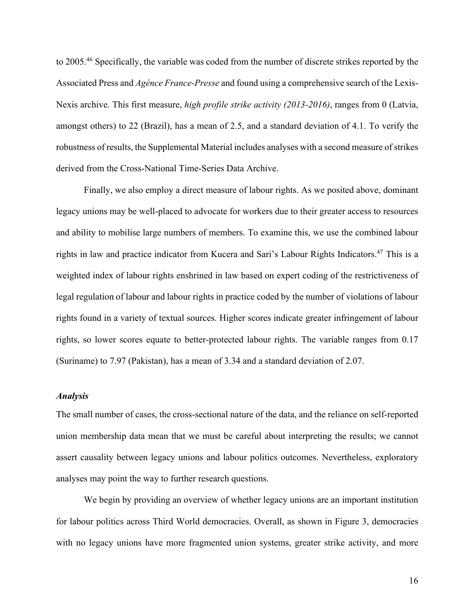to 2005.46 Specifically, the variable was coded from the number of discrete strikes reported by the Associated Press and *Agénce France-Presse* and found using a comprehensive search of the Lexis-Nexis archive. This first measure, *high profile strike activity (2013-2016)*, ranges from 0 (Latvia, amongst others) to 22 (Brazil), has a mean of 2.5, and a standard deviation of 4.1. To verify the robustness of results, the Supplemental Material includes analyses with a second measure of strikes derived from the Cross-National Time-Series Data Archive.

Finally, we also employ a direct measure of labour rights. As we posited above, dominant legacy unions may be well-placed to advocate for workers due to their greater access to resources and ability to mobilise large numbers of members. To examine this, we use the combined labour rights in law and practice indicator from Kucera and Sari's Labour Rights Indicators.47 This is a weighted index of labour rights enshrined in law based on expert coding of the restrictiveness of legal regulation of labour and labour rights in practice coded by the number of violations of labour rights found in a variety of textual sources. Higher scores indicate greater infringement of labour rights, so lower scores equate to better-protected labour rights. The variable ranges from 0.17 (Suriname) to 7.97 (Pakistan), has a mean of 3.34 and a standard deviation of 2.07.

## *Analysis*

The small number of cases, the cross-sectional nature of the data, and the reliance on self-reported union membership data mean that we must be careful about interpreting the results; we cannot assert causality between legacy unions and labour politics outcomes. Nevertheless, exploratory analyses may point the way to further research questions.

We begin by providing an overview of whether legacy unions are an important institution for labour politics across Third World democracies. Overall, as shown in Figure 3, democracies with no legacy unions have more fragmented union systems, greater strike activity, and more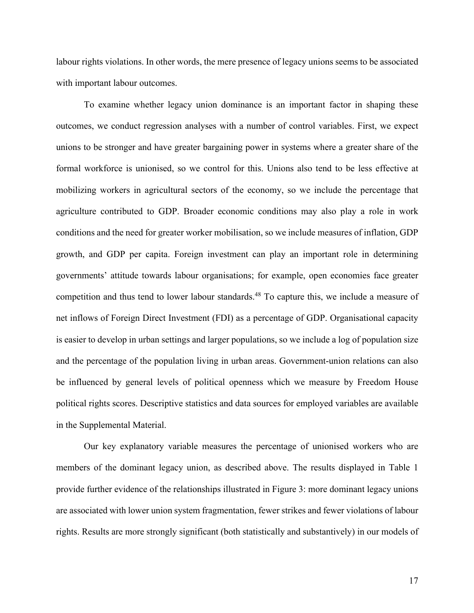labour rights violations. In other words, the mere presence of legacy unions seems to be associated with important labour outcomes.

To examine whether legacy union dominance is an important factor in shaping these outcomes, we conduct regression analyses with a number of control variables. First, we expect unions to be stronger and have greater bargaining power in systems where a greater share of the formal workforce is unionised, so we control for this. Unions also tend to be less effective at mobilizing workers in agricultural sectors of the economy, so we include the percentage that agriculture contributed to GDP. Broader economic conditions may also play a role in work conditions and the need for greater worker mobilisation, so we include measures of inflation, GDP growth, and GDP per capita. Foreign investment can play an important role in determining governments' attitude towards labour organisations; for example, open economies face greater competition and thus tend to lower labour standards.<sup>48</sup> To capture this, we include a measure of net inflows of Foreign Direct Investment (FDI) as a percentage of GDP. Organisational capacity is easier to develop in urban settings and larger populations, so we include a log of population size and the percentage of the population living in urban areas. Government-union relations can also be influenced by general levels of political openness which we measure by Freedom House political rights scores. Descriptive statistics and data sources for employed variables are available in the Supplemental Material.

Our key explanatory variable measures the percentage of unionised workers who are members of the dominant legacy union, as described above. The results displayed in Table 1 provide further evidence of the relationships illustrated in Figure 3: more dominant legacy unions are associated with lower union system fragmentation, fewer strikes and fewer violations of labour rights. Results are more strongly significant (both statistically and substantively) in our models of

17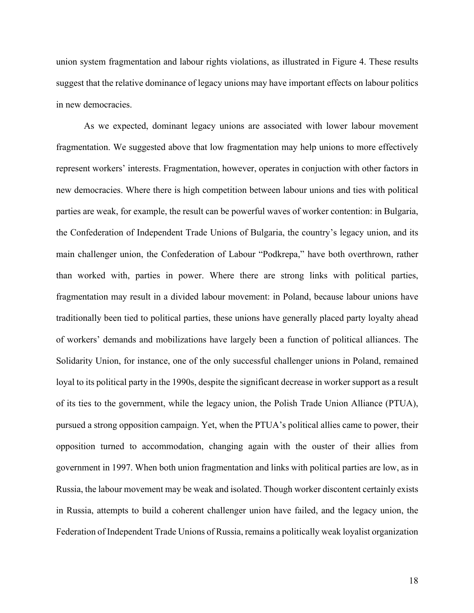union system fragmentation and labour rights violations, as illustrated in Figure 4. These results suggest that the relative dominance of legacy unions may have important effects on labour politics in new democracies.

As we expected, dominant legacy unions are associated with lower labour movement fragmentation. We suggested above that low fragmentation may help unions to more effectively represent workers' interests. Fragmentation, however, operates in conjuction with other factors in new democracies. Where there is high competition between labour unions and ties with political parties are weak, for example, the result can be powerful waves of worker contention: in Bulgaria, the Confederation of Independent Trade Unions of Bulgaria, the country's legacy union, and its main challenger union, the Confederation of Labour "Podkrepa," have both overthrown, rather than worked with, parties in power. Where there are strong links with political parties, fragmentation may result in a divided labour movement: in Poland, because labour unions have traditionally been tied to political parties, these unions have generally placed party loyalty ahead of workers' demands and mobilizations have largely been a function of political alliances. The Solidarity Union, for instance, one of the only successful challenger unions in Poland, remained loyal to its political party in the 1990s, despite the significant decrease in worker support as a result of its ties to the government, while the legacy union, the Polish Trade Union Alliance (PTUA), pursued a strong opposition campaign. Yet, when the PTUA's political allies came to power, their opposition turned to accommodation, changing again with the ouster of their allies from government in 1997. When both union fragmentation and links with political parties are low, as in Russia, the labour movement may be weak and isolated. Though worker discontent certainly exists in Russia, attempts to build a coherent challenger union have failed, and the legacy union, the Federation of Independent Trade Unions of Russia, remains a politically weak loyalist organization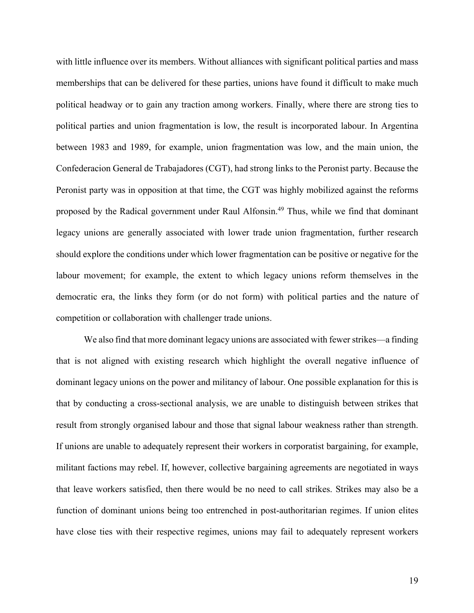with little influence over its members. Without alliances with significant political parties and mass memberships that can be delivered for these parties, unions have found it difficult to make much political headway or to gain any traction among workers. Finally, where there are strong ties to political parties and union fragmentation is low, the result is incorporated labour. In Argentina between 1983 and 1989, for example, union fragmentation was low, and the main union, the Confederacion General de Trabajadores (CGT), had strong links to the Peronist party. Because the Peronist party was in opposition at that time, the CGT was highly mobilized against the reforms proposed by the Radical government under Raul Alfonsin. <sup>49</sup> Thus, while we find that dominant legacy unions are generally associated with lower trade union fragmentation, further research should explore the conditions under which lower fragmentation can be positive or negative for the labour movement; for example, the extent to which legacy unions reform themselves in the democratic era, the links they form (or do not form) with political parties and the nature of competition or collaboration with challenger trade unions.

We also find that more dominant legacy unions are associated with fewer strikes—a finding that is not aligned with existing research which highlight the overall negative influence of dominant legacy unions on the power and militancy of labour. One possible explanation for this is that by conducting a cross-sectional analysis, we are unable to distinguish between strikes that result from strongly organised labour and those that signal labour weakness rather than strength. If unions are unable to adequately represent their workers in corporatist bargaining, for example, militant factions may rebel. If, however, collective bargaining agreements are negotiated in ways that leave workers satisfied, then there would be no need to call strikes. Strikes may also be a function of dominant unions being too entrenched in post-authoritarian regimes. If union elites have close ties with their respective regimes, unions may fail to adequately represent workers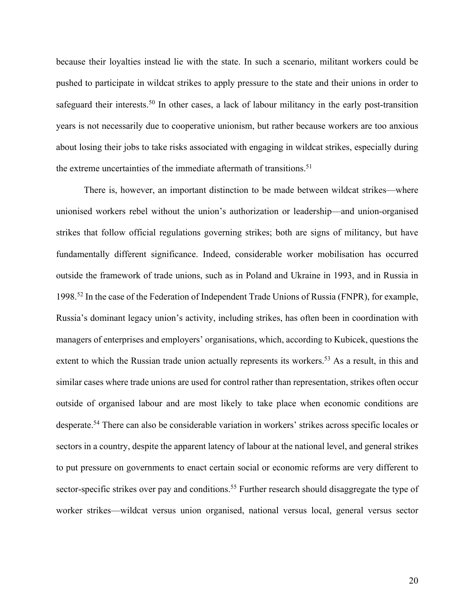because their loyalties instead lie with the state. In such a scenario, militant workers could be pushed to participate in wildcat strikes to apply pressure to the state and their unions in order to safeguard their interests.<sup>50</sup> In other cases, a lack of labour militancy in the early post-transition years is not necessarily due to cooperative unionism, but rather because workers are too anxious about losing their jobs to take risks associated with engaging in wildcat strikes, especially during the extreme uncertainties of the immediate aftermath of transitions. 51

There is, however, an important distinction to be made between wildcat strikes—where unionised workers rebel without the union's authorization or leadership—and union-organised strikes that follow official regulations governing strikes; both are signs of militancy, but have fundamentally different significance. Indeed, considerable worker mobilisation has occurred outside the framework of trade unions, such as in Poland and Ukraine in 1993, and in Russia in 1998.52 In the case of the Federation of Independent Trade Unions of Russia (FNPR), for example, Russia's dominant legacy union's activity, including strikes, has often been in coordination with managers of enterprises and employers' organisations, which, according to Kubicek, questions the extent to which the Russian trade union actually represents its workers.<sup>53</sup> As a result, in this and similar cases where trade unions are used for control rather than representation, strikes often occur outside of organised labour and are most likely to take place when economic conditions are desperate.54 There can also be considerable variation in workers' strikes across specific locales or sectors in a country, despite the apparent latency of labour at the national level, and general strikes to put pressure on governments to enact certain social or economic reforms are very different to sector-specific strikes over pay and conditions.<sup>55</sup> Further research should disaggregate the type of worker strikes—wildcat versus union organised, national versus local, general versus sector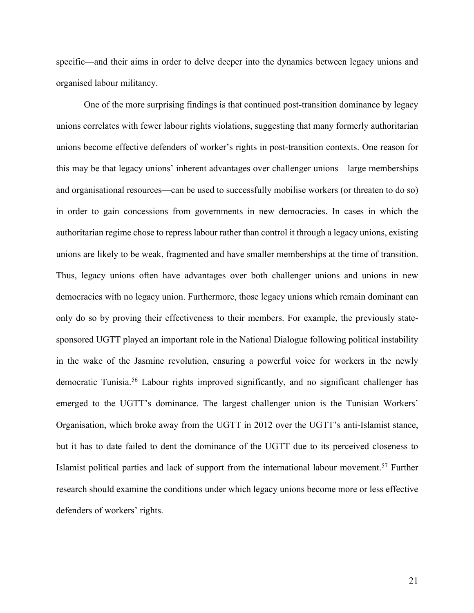specific—and their aims in order to delve deeper into the dynamics between legacy unions and organised labour militancy.

One of the more surprising findings is that continued post-transition dominance by legacy unions correlates with fewer labour rights violations, suggesting that many formerly authoritarian unions become effective defenders of worker's rights in post-transition contexts. One reason for this may be that legacy unions' inherent advantages over challenger unions—large memberships and organisational resources—can be used to successfully mobilise workers (or threaten to do so) in order to gain concessions from governments in new democracies. In cases in which the authoritarian regime chose to repress labour rather than control it through a legacy unions, existing unions are likely to be weak, fragmented and have smaller memberships at the time of transition. Thus, legacy unions often have advantages over both challenger unions and unions in new democracies with no legacy union. Furthermore, those legacy unions which remain dominant can only do so by proving their effectiveness to their members. For example, the previously statesponsored UGTT played an important role in the National Dialogue following political instability in the wake of the Jasmine revolution, ensuring a powerful voice for workers in the newly democratic Tunisia.<sup>56</sup> Labour rights improved significantly, and no significant challenger has emerged to the UGTT's dominance. The largest challenger union is the Tunisian Workers' Organisation, which broke away from the UGTT in 2012 over the UGTT's anti-Islamist stance, but it has to date failed to dent the dominance of the UGTT due to its perceived closeness to Islamist political parties and lack of support from the international labour movement. <sup>57</sup> Further research should examine the conditions under which legacy unions become more or less effective defenders of workers' rights.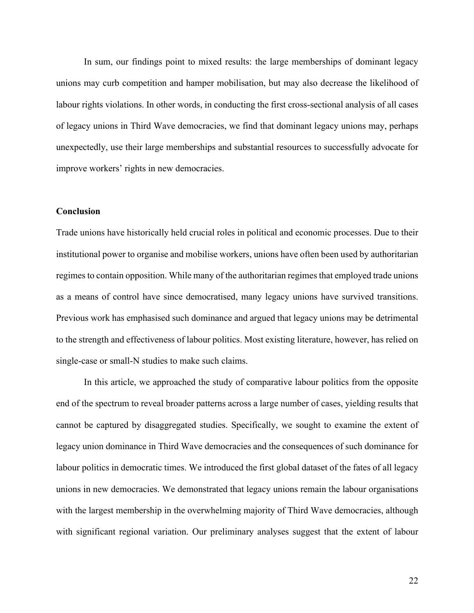In sum, our findings point to mixed results: the large memberships of dominant legacy unions may curb competition and hamper mobilisation, but may also decrease the likelihood of labour rights violations. In other words, in conducting the first cross-sectional analysis of all cases of legacy unions in Third Wave democracies, we find that dominant legacy unions may, perhaps unexpectedly, use their large memberships and substantial resources to successfully advocate for improve workers' rights in new democracies.

## **Conclusion**

Trade unions have historically held crucial roles in political and economic processes. Due to their institutional power to organise and mobilise workers, unions have often been used by authoritarian regimes to contain opposition. While many of the authoritarian regimes that employed trade unions as a means of control have since democratised, many legacy unions have survived transitions. Previous work has emphasised such dominance and argued that legacy unions may be detrimental to the strength and effectiveness of labour politics. Most existing literature, however, has relied on single-case or small-N studies to make such claims.

In this article, we approached the study of comparative labour politics from the opposite end of the spectrum to reveal broader patterns across a large number of cases, yielding results that cannot be captured by disaggregated studies. Specifically, we sought to examine the extent of legacy union dominance in Third Wave democracies and the consequences of such dominance for labour politics in democratic times. We introduced the first global dataset of the fates of all legacy unions in new democracies. We demonstrated that legacy unions remain the labour organisations with the largest membership in the overwhelming majority of Third Wave democracies, although with significant regional variation. Our preliminary analyses suggest that the extent of labour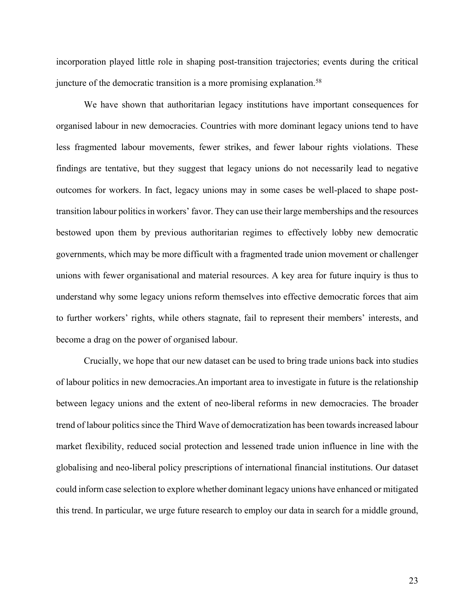incorporation played little role in shaping post-transition trajectories; events during the critical juncture of the democratic transition is a more promising explanation.<sup>58</sup>

We have shown that authoritarian legacy institutions have important consequences for organised labour in new democracies. Countries with more dominant legacy unions tend to have less fragmented labour movements, fewer strikes, and fewer labour rights violations. These findings are tentative, but they suggest that legacy unions do not necessarily lead to negative outcomes for workers. In fact, legacy unions may in some cases be well-placed to shape posttransition labour politics in workers' favor. They can use their large memberships and the resources bestowed upon them by previous authoritarian regimes to effectively lobby new democratic governments, which may be more difficult with a fragmented trade union movement or challenger unions with fewer organisational and material resources. A key area for future inquiry is thus to understand why some legacy unions reform themselves into effective democratic forces that aim to further workers' rights, while others stagnate, fail to represent their members' interests, and become a drag on the power of organised labour.

Crucially, we hope that our new dataset can be used to bring trade unions back into studies of labour politics in new democracies.An important area to investigate in future is the relationship between legacy unions and the extent of neo-liberal reforms in new democracies. The broader trend of labour politics since the Third Wave of democratization has been towards increased labour market flexibility, reduced social protection and lessened trade union influence in line with the globalising and neo-liberal policy prescriptions of international financial institutions. Our dataset could inform case selection to explore whether dominant legacy unions have enhanced or mitigated this trend. In particular, we urge future research to employ our data in search for a middle ground,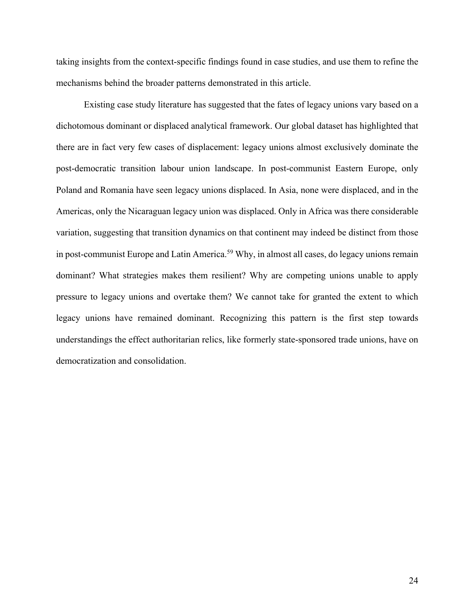taking insights from the context-specific findings found in case studies, and use them to refine the mechanisms behind the broader patterns demonstrated in this article.

Existing case study literature has suggested that the fates of legacy unions vary based on a dichotomous dominant or displaced analytical framework. Our global dataset has highlighted that there are in fact very few cases of displacement: legacy unions almost exclusively dominate the post-democratic transition labour union landscape. In post-communist Eastern Europe, only Poland and Romania have seen legacy unions displaced. In Asia, none were displaced, and in the Americas, only the Nicaraguan legacy union was displaced. Only in Africa was there considerable variation, suggesting that transition dynamics on that continent may indeed be distinct from those in post-communist Europe and Latin America. <sup>59</sup> Why, in almost all cases, do legacy unions remain dominant? What strategies makes them resilient? Why are competing unions unable to apply pressure to legacy unions and overtake them? We cannot take for granted the extent to which legacy unions have remained dominant. Recognizing this pattern is the first step towards understandings the effect authoritarian relics, like formerly state-sponsored trade unions, have on democratization and consolidation.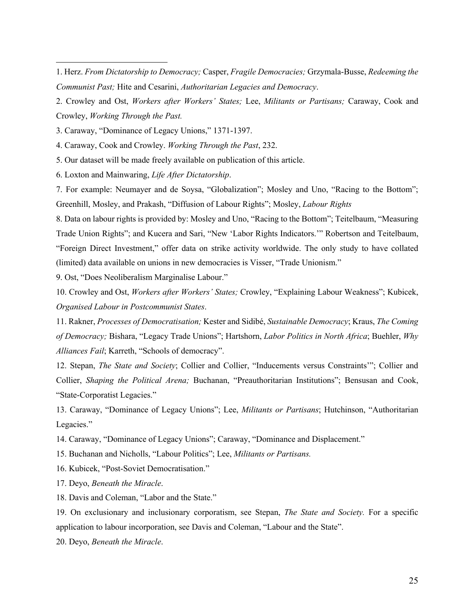3. Caraway, "Dominance of Legacy Unions," 1371-1397.

4. Caraway, Cook and Crowley. *Working Through the Past*, 232.

5. Our dataset will be made freely available on publication of this article.

6. Loxton and Mainwaring, *Life After Dictatorship*.

7. For example: Neumayer and de Soysa, "Globalization"; Mosley and Uno, "Racing to the Bottom"; Greenhill, Mosley, and Prakash, "Diffusion of Labour Rights"; Mosley, *Labour Rights*

8. Data on labour rights is provided by: Mosley and Uno, "Racing to the Bottom"; Teitelbaum, "Measuring Trade Union Rights"; and Kucera and Sari, "New 'Labor Rights Indicators.'" Robertson and Teitelbaum, "Foreign Direct Investment," offer data on strike activity worldwide. The only study to have collated (limited) data available on unions in new democracies is Visser, "Trade Unionism."

9. Ost, "Does Neoliberalism Marginalise Labour."

10. Crowley and Ost, *Workers after Workers' States;* Crowley, "Explaining Labour Weakness"; Kubicek, *Organised Labour in Postcommunist States*.

11. Rakner, *Processes of Democratisation;* Kester and Sidibé, *Sustainable Democracy*; Kraus, *The Coming of Democracy;* Bishara, "Legacy Trade Unions"; Hartshorn, *Labor Politics in North Africa*; Buehler, *Why Alliances Fail*; Karreth, "Schools of democracy".

12. Stepan, *The State and Society*; Collier and Collier, "Inducements versus Constraints'"; Collier and Collier, *Shaping the Political Arena;* Buchanan, "Preauthoritarian Institutions"; Bensusan and Cook, "State-Corporatist Legacies."

13. Caraway, "Dominance of Legacy Unions"; Lee, *Militants or Partisans*; Hutchinson, "Authoritarian Legacies."

14. Caraway, "Dominance of Legacy Unions"; Caraway, "Dominance and Displacement."

15. Buchanan and Nicholls, "Labour Politics"; Lee, *Militants or Partisans.*

16. Kubicek, "Post-Soviet Democratisation."

17. Deyo, *Beneath the Miracle*.

18. Davis and Coleman, "Labor and the State."

19. On exclusionary and inclusionary corporatism, see Stepan, *The State and Society.* For a specific application to labour incorporation, see Davis and Coleman, "Labour and the State".

20. Deyo, *Beneath the Miracle*.

<sup>1.</sup> Herz. *From Dictatorship to Democracy;* Casper, *Fragile Democracies;* Grzymala-Busse, *Redeeming the Communist Past;* Hite and Cesarini, *Authoritarian Legacies and Democracy*.

<sup>2.</sup> Crowley and Ost, *Workers after Workers' States;* Lee, *Militants or Partisans;* Caraway, Cook and Crowley, *Working Through the Past.*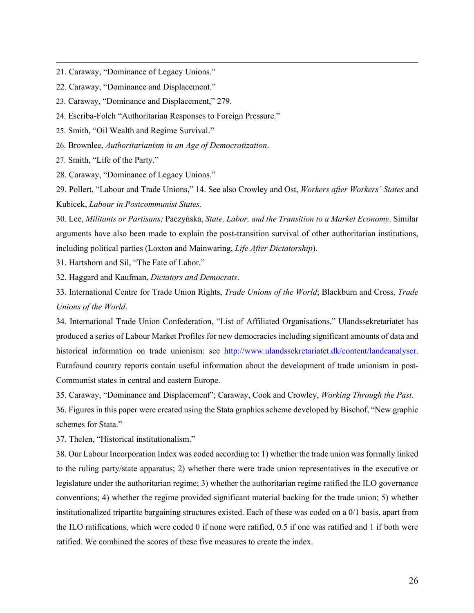- 21. Caraway, "Dominance of Legacy Unions."
- 22. Caraway, "Dominance and Displacement."
- 23. Caraway, "Dominance and Displacement," 279.
- 24. Escriba-Folch "Authoritarian Responses to Foreign Pressure."
- 25. Smith, "Oil Wealth and Regime Survival."
- 26. Brownlee, *Authoritarianism in an Age of Democratization*.
- 27. Smith, "Life of the Party."
- 28. Caraway, "Dominance of Legacy Unions."

29. Pollert, "Labour and Trade Unions," 14. See also Crowley and Ost, *Workers after Workers' States* and Kubicek, *Labour in Postcommunist States.*

30. Lee, *Militants or Partisans;* Paczyńska, *State, Labor, and the Transition to a Market Economy*. Similar arguments have also been made to explain the post-transition survival of other authoritarian institutions, including political parties (Loxton and Mainwaring, *Life After Dictatorship*).

31. Hartshorn and Sil, "The Fate of Labor."

32. Haggard and Kaufman, *Dictators and Democrats*.

33. International Centre for Trade Union Rights, *Trade Unions of the World*; Blackburn and Cross, *Trade Unions of the World*.

34. International Trade Union Confederation, "List of Affiliated Organisations." Ulandssekretariatet has produced a series of Labour Market Profiles for new democracies including significant amounts of data and historical information on trade unionism: see http://www.ulandssekretariatet.dk/content/landeanalyser. Eurofound country reports contain useful information about the development of trade unionism in post-Communist states in central and eastern Europe.

35. Caraway, "Dominance and Displacement"; Caraway, Cook and Crowley, *Working Through the Past*.

36. Figures in this paper were created using the Stata graphics scheme developed by Bischof, "New graphic schemes for Stata."

37. Thelen, "Historical institutionalism."

38. Our Labour Incorporation Index was coded according to: 1) whether the trade union was formally linked to the ruling party/state apparatus; 2) whether there were trade union representatives in the executive or legislature under the authoritarian regime; 3) whether the authoritarian regime ratified the ILO governance conventions; 4) whether the regime provided significant material backing for the trade union; 5) whether institutionalized tripartite bargaining structures existed. Each of these was coded on a 0/1 basis, apart from the ILO ratifications, which were coded 0 if none were ratified, 0.5 if one was ratified and 1 if both were ratified. We combined the scores of these five measures to create the index.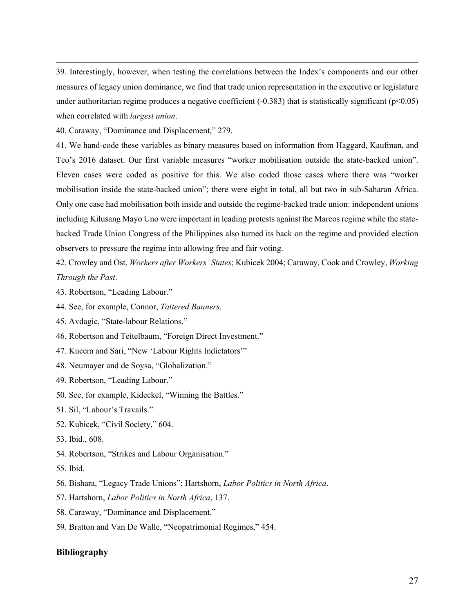39. Interestingly, however, when testing the correlations between the Index's components and our other measures of legacy union dominance, we find that trade union representation in the executive or legislature under authoritarian regime produces a negative coefficient  $(-0.383)$  that is statistically significant ( $p<0.05$ ) when correlated with *largest union*.

40. Caraway, "Dominance and Displacement," 279.

41. We hand-code these variables as binary measures based on information from Haggard, Kaufman, and Teo's 2016 dataset. Our first variable measures "worker mobilisation outside the state-backed union". Eleven cases were coded as positive for this. We also coded those cases where there was "worker mobilisation inside the state-backed union"; there were eight in total, all but two in sub-Saharan Africa. Only one case had mobilisation both inside and outside the regime-backed trade union: independent unions including Kilusang Mayo Uno were important in leading protests against the Marcos regime while the statebacked Trade Union Congress of the Philippines also turned its back on the regime and provided election observers to pressure the regime into allowing free and fair voting.

42. Crowley and Ost, *Workers after Workers' States*; Kubicek 2004; Caraway, Cook and Crowley, *Working Through the Past*.

- 43. Robertson, "Leading Labour."
- 44. See, for example, Connor, *Tattered Banners*.
- 45. Avdagic, "State-labour Relations."
- 46. Robertson and Teitelbaum, "Foreign Direct Investment."
- 47. Kucera and Sari, "New 'Labour Rights Indictators'"
- 48. Neumayer and de Soysa, "Globalization."
- 49. Robertson, "Leading Labour."
- 50. See, for example, Kideckel, "Winning the Battles."
- 51. Sil, "Labour's Travails."
- 52. Kubicek, "Civil Society," 604.
- 53. Ibid., 608.
- 54. Robertson, "Strikes and Labour Organisation."
- 55. Ibid.
- 56. Bishara, "Legacy Trade Unions"; Hartshorn, *Labor Politics in North Africa*.
- 57. Hartshorn, *Labor Politics in North Africa*, 137.
- 58. Caraway, "Dominance and Displacement."
- 59. Bratton and Van De Walle, "Neopatrimonial Regimes," 454.

### **Bibliography**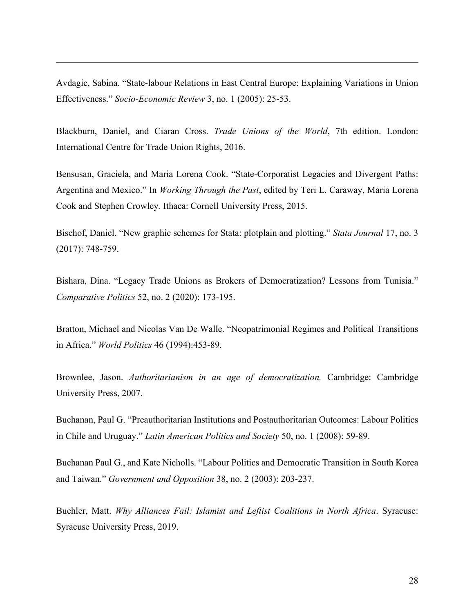Avdagic, Sabina. "State-labour Relations in East Central Europe: Explaining Variations in Union Effectiveness." *Socio-Economic Review* 3, no. 1 (2005): 25-53.

Blackburn, Daniel, and Ciaran Cross. *Trade Unions of the World*, 7th edition. London: International Centre for Trade Union Rights, 2016.

Bensusan, Graciela, and Maria Lorena Cook. "State-Corporatist Legacies and Divergent Paths: Argentina and Mexico." In *Working Through the Past*, edited by Teri L. Caraway, Maria Lorena Cook and Stephen Crowley*.* Ithaca: Cornell University Press, 2015.

Bischof, Daniel. "New graphic schemes for Stata: plotplain and plotting." *Stata Journal* 17, no. 3 (2017): 748-759.

Bishara, Dina. "Legacy Trade Unions as Brokers of Democratization? Lessons from Tunisia." *Comparative Politics* 52, no. 2 (2020): 173-195.

Bratton, Michael and Nicolas Van De Walle. "Neopatrimonial Regimes and Political Transitions in Africa." *World Politics* 46 (1994):453-89.

Brownlee, Jason. *Authoritarianism in an age of democratization.* Cambridge: Cambridge University Press, 2007.

Buchanan, Paul G. "Preauthoritarian Institutions and Postauthoritarian Outcomes: Labour Politics in Chile and Uruguay." *Latin American Politics and Society* 50, no. 1 (2008): 59-89.

Buchanan Paul G., and Kate Nicholls. "Labour Politics and Democratic Transition in South Korea and Taiwan." *Government and Opposition* 38, no. 2 (2003): 203-237.

Buehler, Matt. *Why Alliances Fail: Islamist and Leftist Coalitions in North Africa*. Syracuse: Syracuse University Press, 2019.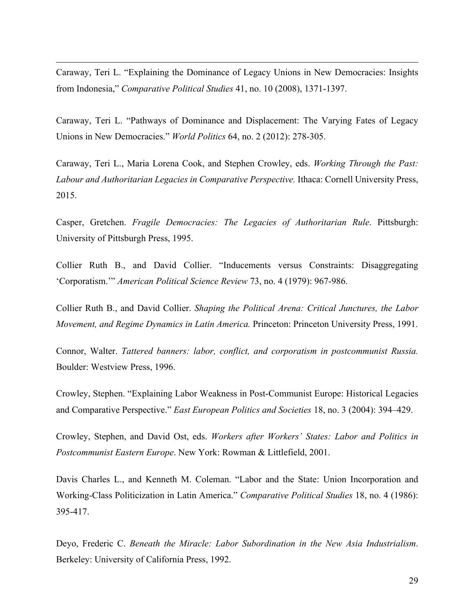Caraway, Teri L. "Explaining the Dominance of Legacy Unions in New Democracies: Insights from Indonesia," *Comparative Political Studies* 41, no. 10 (2008), 1371-1397.

Caraway, Teri L. "Pathways of Dominance and Displacement: The Varying Fates of Legacy Unions in New Democracies." *World Politics* 64, no. 2 (2012): 278-305.

Caraway, Teri L., Maria Lorena Cook, and Stephen Crowley, eds. *Working Through the Past: Labour and Authoritarian Legacies in Comparative Perspective.* Ithaca: Cornell University Press, 2015.

Casper, Gretchen. *Fragile Democracies: The Legacies of Authoritarian Rule*. Pittsburgh: University of Pittsburgh Press, 1995.

Collier Ruth B., and David Collier. "Inducements versus Constraints: Disaggregating 'Corporatism.'" *American Political Science Review* 73, no. 4 (1979): 967-986.

Collier Ruth B., and David Collier. *Shaping the Political Arena: Critical Junctures, the Labor Movement, and Regime Dynamics in Latin America.* Princeton: Princeton University Press, 1991.

Connor, Walter. *Tattered banners: labor, conflict, and corporatism in postcommunist Russia.*  Boulder: Westview Press, 1996.

Crowley, Stephen. "Explaining Labor Weakness in Post-Communist Europe: Historical Legacies and Comparative Perspective." *East European Politics and Societies* 18, no. 3 (2004): 394–429.

Crowley, Stephen, and David Ost, eds. *Workers after Workers' States: Labor and Politics in Postcommunist Eastern Europe*. New York: Rowman & Littlefield, 2001.

Davis Charles L., and Kenneth M. Coleman. "Labor and the State: Union Incorporation and Working-Class Politicization in Latin America." *Comparative Political Studies* 18, no. 4 (1986): 395-417.

Deyo, Frederic C. *Beneath the Miracle: Labor Subordination in the New Asia Industrialism*. Berkeley: University of California Press, 1992.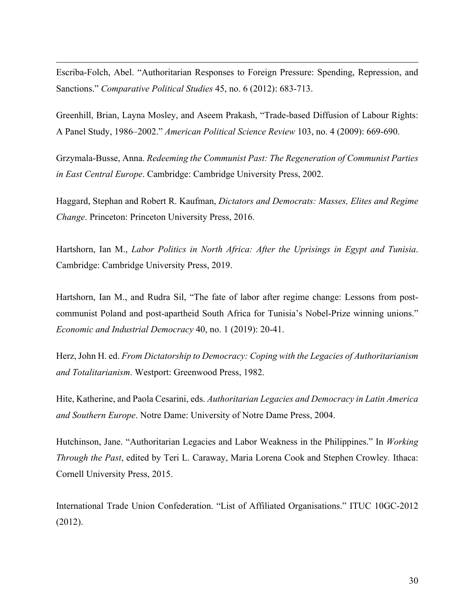Escriba-Folch, Abel. "Authoritarian Responses to Foreign Pressure: Spending, Repression, and Sanctions." *Comparative Political Studies* 45, no. 6 (2012): 683-713.

Greenhill, Brian, Layna Mosley, and Aseem Prakash, "Trade-based Diffusion of Labour Rights: A Panel Study, 1986–2002." *American Political Science Review* 103, no. 4 (2009): 669-690.

Grzymala-Busse, Anna. *Redeeming the Communist Past: The Regeneration of Communist Parties in East Central Europe*. Cambridge: Cambridge University Press, 2002.

Haggard, Stephan and Robert R. Kaufman, *Dictators and Democrats: Masses, Elites and Regime Change*. Princeton: Princeton University Press, 2016.

Hartshorn, Ian M., *Labor Politics in North Africa: After the Uprisings in Egypt and Tunisia*. Cambridge: Cambridge University Press, 2019.

Hartshorn, Ian M., and Rudra Sil, "The fate of labor after regime change: Lessons from postcommunist Poland and post-apartheid South Africa for Tunisia's Nobel-Prize winning unions." *Economic and Industrial Democracy* 40, no. 1 (2019): 20-41.

Herz, John H. ed. *From Dictatorship to Democracy: Coping with the Legacies of Authoritarianism and Totalitarianism*. Westport: Greenwood Press, 1982.

Hite, Katherine, and Paola Cesarini, eds. *Authoritarian Legacies and Democracy in Latin America and Southern Europe*. Notre Dame: University of Notre Dame Press, 2004.

Hutchinson, Jane. "Authoritarian Legacies and Labor Weakness in the Philippines." In *Working Through the Past*, edited by Teri L. Caraway, Maria Lorena Cook and Stephen Crowley*.* Ithaca: Cornell University Press, 2015.

International Trade Union Confederation. "List of Affiliated Organisations." ITUC 10GC-2012 (2012).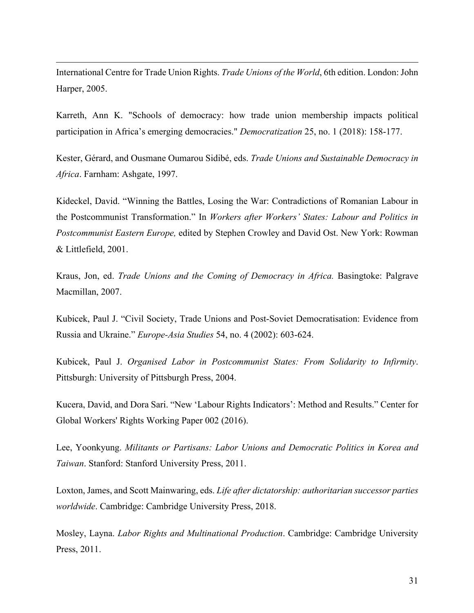International Centre for Trade Union Rights. *Trade Unions of the World*, 6th edition. London: John Harper, 2005.

Karreth, Ann K. "Schools of democracy: how trade union membership impacts political participation in Africa's emerging democracies." *Democratization* 25, no. 1 (2018): 158-177.

Kester, Gérard, and Ousmane Oumarou Sidibé, eds. *Trade Unions and Sustainable Democracy in Africa*. Farnham: Ashgate, 1997.

Kideckel, David. "Winning the Battles, Losing the War: Contradictions of Romanian Labour in the Postcommunist Transformation." In *Workers after Workers' States: Labour and Politics in Postcommunist Eastern Europe,* edited by Stephen Crowley and David Ost. New York: Rowman & Littlefield, 2001.

Kraus, Jon, ed. *Trade Unions and the Coming of Democracy in Africa.* Basingtoke: Palgrave Macmillan, 2007.

Kubicek, Paul J. "Civil Society, Trade Unions and Post-Soviet Democratisation: Evidence from Russia and Ukraine." *Europe-Asia Studies* 54, no. 4 (2002): 603-624.

Kubicek, Paul J. *Organised Labor in Postcommunist States: From Solidarity to Infirmity*. Pittsburgh: University of Pittsburgh Press, 2004.

Kucera, David, and Dora Sari. "New 'Labour Rights Indicators': Method and Results." Center for Global Workers' Rights Working Paper 002 (2016).

Lee, Yoonkyung. *Militants or Partisans: Labor Unions and Democratic Politics in Korea and Taiwan*. Stanford: Stanford University Press, 2011.

Loxton, James, and Scott Mainwaring, eds. *Life after dictatorship: authoritarian successor parties worldwide*. Cambridge: Cambridge University Press, 2018.

Mosley, Layna. *Labor Rights and Multinational Production*. Cambridge: Cambridge University Press, 2011.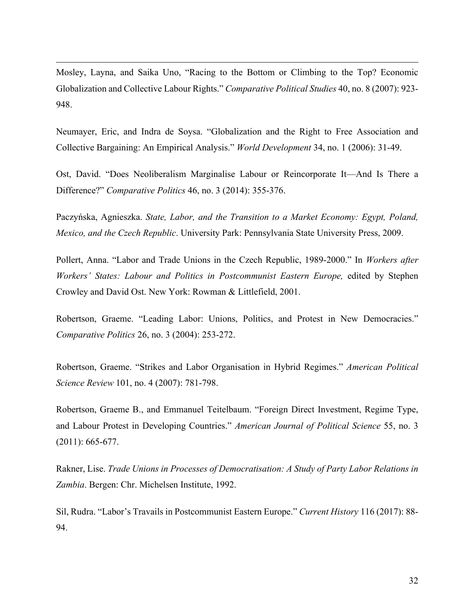Mosley, Layna, and Saika Uno, "Racing to the Bottom or Climbing to the Top? Economic Globalization and Collective Labour Rights." *Comparative Political Studies* 40, no. 8 (2007): 923- 948.

Neumayer, Eric, and Indra de Soysa. "Globalization and the Right to Free Association and Collective Bargaining: An Empirical Analysis." *World Development* 34, no. 1 (2006): 31-49.

Ost, David. "Does Neoliberalism Marginalise Labour or Reincorporate It—And Is There a Difference?" *Comparative Politics* 46, no. 3 (2014): 355-376.

Paczyńska, Agnieszka. *State, Labor, and the Transition to a Market Economy: Egypt, Poland, Mexico, and the Czech Republic*. University Park: Pennsylvania State University Press, 2009.

Pollert, Anna. "Labor and Trade Unions in the Czech Republic, 1989-2000." In *Workers after Workers' States: Labour and Politics in Postcommunist Eastern Europe,* edited by Stephen Crowley and David Ost. New York: Rowman & Littlefield, 2001.

Robertson, Graeme. "Leading Labor: Unions, Politics, and Protest in New Democracies." *Comparative Politics* 26, no. 3 (2004): 253-272.

Robertson, Graeme. "Strikes and Labor Organisation in Hybrid Regimes." *American Political Science Review* 101, no. 4 (2007): 781-798.

Robertson, Graeme B., and Emmanuel Teitelbaum. "Foreign Direct Investment, Regime Type, and Labour Protest in Developing Countries." *American Journal of Political Science* 55, no. 3 (2011): 665-677.

Rakner, Lise. *Trade Unions in Processes of Democratisation: A Study of Party Labor Relations in Zambia*. Bergen: Chr. Michelsen Institute, 1992.

Sil, Rudra. "Labor's Travails in Postcommunist Eastern Europe." *Current History* 116 (2017): 88- 94.